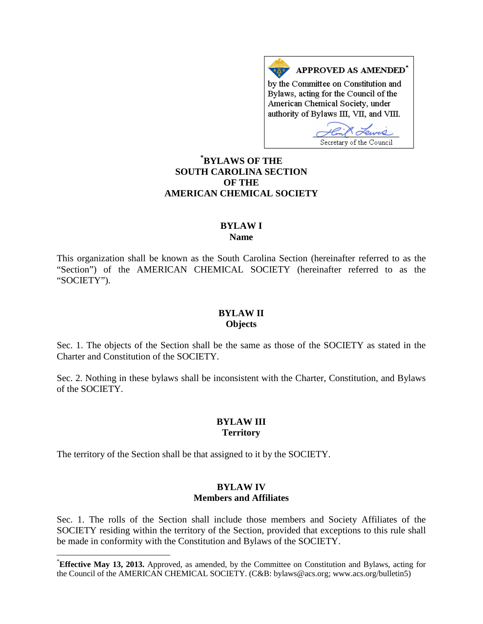APPROVED AS AMENDED\* by the Committee on Constitution and Bylaws, acting for the Council of the American Chemical Society, under authority of Bylaws III, VII, and VIII.

Secretary of the Council **[\\*](#page-0-0) BYLAWS OF THE**

# **SOUTH CAROLINA SECTION OF THE AMERICAN CHEMICAL SOCIETY**

### **BYLAW I Name**

This organization shall be known as the South Carolina Section (hereinafter referred to as the "Section") of the AMERICAN CHEMICAL SOCIETY (hereinafter referred to as the "SOCIETY").

#### **BYLAW II Objects**

Sec. 1. The objects of the Section shall be the same as those of the SOCIETY as stated in the Charter and Constitution of the SOCIETY.

Sec. 2. Nothing in these bylaws shall be inconsistent with the Charter, Constitution, and Bylaws of the SOCIETY.

# **BYLAW III Territory**

The territory of the Section shall be that assigned to it by the SOCIETY.

## **BYLAW IV Members and Affiliates**

Sec. 1. The rolls of the Section shall include those members and Society Affiliates of the SOCIETY residing within the territory of the Section, provided that exceptions to this rule shall be made in conformity with the Constitution and Bylaws of the SOCIETY.

<span id="page-0-0"></span> <sup>\*</sup> **Effective May 13, 2013.** Approved, as amended, by the Committee on Constitution and Bylaws, acting for the Council of the AMERICAN CHEMICAL SOCIETY. (C&B: bylaws@acs.org; www.acs.org/bulletin5)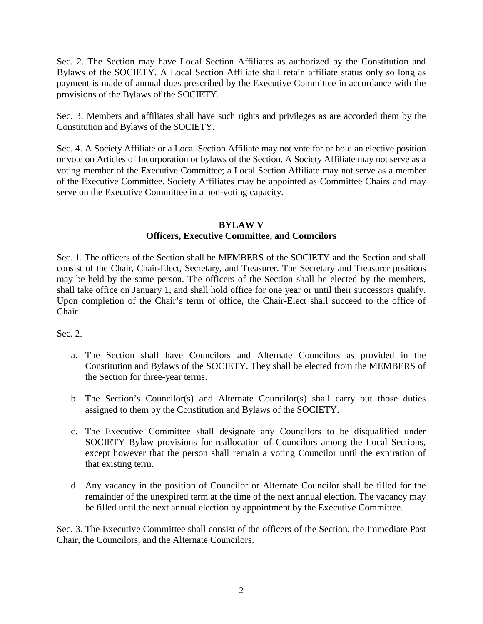Sec. 2. The Section may have Local Section Affiliates as authorized by the Constitution and Bylaws of the SOCIETY. A Local Section Affiliate shall retain affiliate status only so long as payment is made of annual dues prescribed by the Executive Committee in accordance with the provisions of the Bylaws of the SOCIETY.

Sec. 3. Members and affiliates shall have such rights and privileges as are accorded them by the Constitution and Bylaws of the SOCIETY.

Sec. 4. A Society Affiliate or a Local Section Affiliate may not vote for or hold an elective position or vote on Articles of Incorporation or bylaws of the Section. A Society Affiliate may not serve as a voting member of the Executive Committee; a Local Section Affiliate may not serve as a member of the Executive Committee. Society Affiliates may be appointed as Committee Chairs and may serve on the Executive Committee in a non-voting capacity.

#### **BYLAW V**

## **Officers, Executive Committee, and Councilors**

Sec. 1. The officers of the Section shall be MEMBERS of the SOCIETY and the Section and shall consist of the Chair, Chair-Elect, Secretary, and Treasurer. The Secretary and Treasurer positions may be held by the same person. The officers of the Section shall be elected by the members, shall take office on January 1, and shall hold office for one year or until their successors qualify. Upon completion of the Chair's term of office, the Chair-Elect shall succeed to the office of Chair.

#### Sec. 2.

- a. The Section shall have Councilors and Alternate Councilors as provided in the Constitution and Bylaws of the SOCIETY. They shall be elected from the MEMBERS of the Section for three-year terms.
- b. The Section's Councilor(s) and Alternate Councilor(s) shall carry out those duties assigned to them by the Constitution and Bylaws of the SOCIETY.
- c. The Executive Committee shall designate any Councilors to be disqualified under SOCIETY Bylaw provisions for reallocation of Councilors among the Local Sections, except however that the person shall remain a voting Councilor until the expiration of that existing term.
- d. Any vacancy in the position of Councilor or Alternate Councilor shall be filled for the remainder of the unexpired term at the time of the next annual election. The vacancy may be filled until the next annual election by appointment by the Executive Committee.

Sec. 3. The Executive Committee shall consist of the officers of the Section, the Immediate Past Chair, the Councilors, and the Alternate Councilors.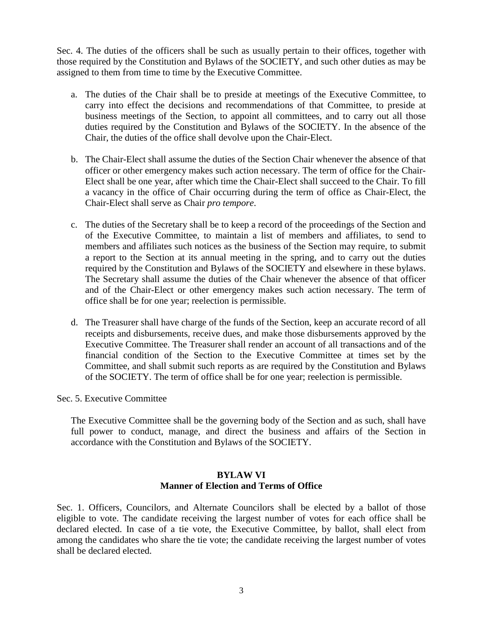Sec. 4. The duties of the officers shall be such as usually pertain to their offices, together with those required by the Constitution and Bylaws of the SOCIETY, and such other duties as may be assigned to them from time to time by the Executive Committee.

- a. The duties of the Chair shall be to preside at meetings of the Executive Committee, to carry into effect the decisions and recommendations of that Committee, to preside at business meetings of the Section, to appoint all committees, and to carry out all those duties required by the Constitution and Bylaws of the SOCIETY. In the absence of the Chair, the duties of the office shall devolve upon the Chair-Elect.
- b. The Chair-Elect shall assume the duties of the Section Chair whenever the absence of that officer or other emergency makes such action necessary. The term of office for the Chair-Elect shall be one year, after which time the Chair-Elect shall succeed to the Chair. To fill a vacancy in the office of Chair occurring during the term of office as Chair-Elect, the Chair-Elect shall serve as Chair *pro tempore*.
- c. The duties of the Secretary shall be to keep a record of the proceedings of the Section and of the Executive Committee, to maintain a list of members and affiliates, to send to members and affiliates such notices as the business of the Section may require, to submit a report to the Section at its annual meeting in the spring, and to carry out the duties required by the Constitution and Bylaws of the SOCIETY and elsewhere in these bylaws. The Secretary shall assume the duties of the Chair whenever the absence of that officer and of the Chair-Elect or other emergency makes such action necessary. The term of office shall be for one year; reelection is permissible.
- d. The Treasurer shall have charge of the funds of the Section, keep an accurate record of all receipts and disbursements, receive dues, and make those disbursements approved by the Executive Committee. The Treasurer shall render an account of all transactions and of the financial condition of the Section to the Executive Committee at times set by the Committee, and shall submit such reports as are required by the Constitution and Bylaws of the SOCIETY. The term of office shall be for one year; reelection is permissible.

Sec. 5. Executive Committee

The Executive Committee shall be the governing body of the Section and as such, shall have full power to conduct, manage, and direct the business and affairs of the Section in accordance with the Constitution and Bylaws of the SOCIETY.

## **BYLAW VI Manner of Election and Terms of Office**

Sec. 1. Officers, Councilors, and Alternate Councilors shall be elected by a ballot of those eligible to vote. The candidate receiving the largest number of votes for each office shall be declared elected. In case of a tie vote, the Executive Committee, by ballot, shall elect from among the candidates who share the tie vote; the candidate receiving the largest number of votes shall be declared elected.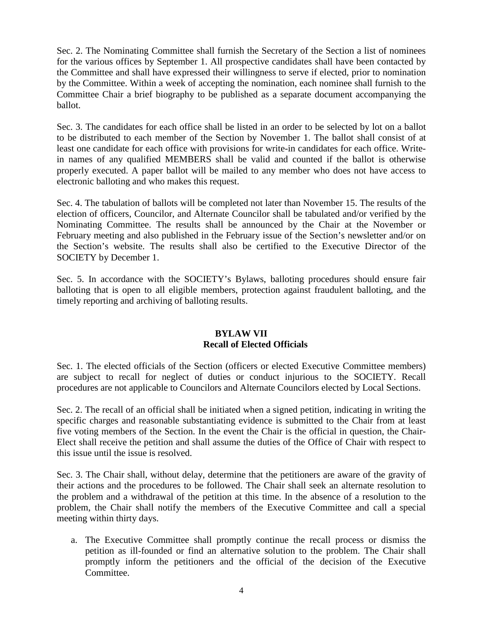Sec. 2. The Nominating Committee shall furnish the Secretary of the Section a list of nominees for the various offices by September 1. All prospective candidates shall have been contacted by the Committee and shall have expressed their willingness to serve if elected, prior to nomination by the Committee. Within a week of accepting the nomination, each nominee shall furnish to the Committee Chair a brief biography to be published as a separate document accompanying the ballot.

Sec. 3. The candidates for each office shall be listed in an order to be selected by lot on a ballot to be distributed to each member of the Section by November 1. The ballot shall consist of at least one candidate for each office with provisions for write-in candidates for each office. Writein names of any qualified MEMBERS shall be valid and counted if the ballot is otherwise properly executed. A paper ballot will be mailed to any member who does not have access to electronic balloting and who makes this request.

Sec. 4. The tabulation of ballots will be completed not later than November 15. The results of the election of officers, Councilor, and Alternate Councilor shall be tabulated and/or verified by the Nominating Committee. The results shall be announced by the Chair at the November or February meeting and also published in the February issue of the Section's newsletter and/or on the Section's website. The results shall also be certified to the Executive Director of the SOCIETY by December 1.

Sec. 5. In accordance with the SOCIETY's Bylaws, balloting procedures should ensure fair balloting that is open to all eligible members, protection against fraudulent balloting, and the timely reporting and archiving of balloting results.

## **BYLAW VII Recall of Elected Officials**

Sec. 1. The elected officials of the Section (officers or elected Executive Committee members) are subject to recall for neglect of duties or conduct injurious to the SOCIETY. Recall procedures are not applicable to Councilors and Alternate Councilors elected by Local Sections.

Sec. 2. The recall of an official shall be initiated when a signed petition, indicating in writing the specific charges and reasonable substantiating evidence is submitted to the Chair from at least five voting members of the Section. In the event the Chair is the official in question, the Chair-Elect shall receive the petition and shall assume the duties of the Office of Chair with respect to this issue until the issue is resolved.

Sec. 3. The Chair shall, without delay, determine that the petitioners are aware of the gravity of their actions and the procedures to be followed. The Chair shall seek an alternate resolution to the problem and a withdrawal of the petition at this time. In the absence of a resolution to the problem, the Chair shall notify the members of the Executive Committee and call a special meeting within thirty days.

a. The Executive Committee shall promptly continue the recall process or dismiss the petition as ill-founded or find an alternative solution to the problem. The Chair shall promptly inform the petitioners and the official of the decision of the Executive Committee.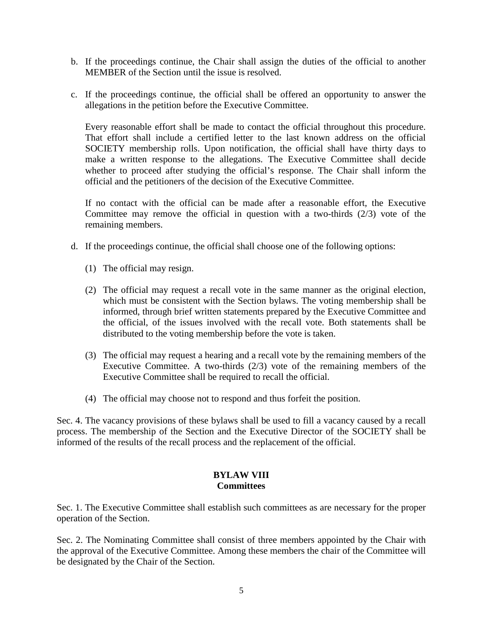- b. If the proceedings continue, the Chair shall assign the duties of the official to another MEMBER of the Section until the issue is resolved.
- c. If the proceedings continue, the official shall be offered an opportunity to answer the allegations in the petition before the Executive Committee.

Every reasonable effort shall be made to contact the official throughout this procedure. That effort shall include a certified letter to the last known address on the official SOCIETY membership rolls. Upon notification, the official shall have thirty days to make a written response to the allegations. The Executive Committee shall decide whether to proceed after studying the official's response. The Chair shall inform the official and the petitioners of the decision of the Executive Committee.

If no contact with the official can be made after a reasonable effort, the Executive Committee may remove the official in question with a two-thirds (2/3) vote of the remaining members.

- d. If the proceedings continue, the official shall choose one of the following options:
	- (1) The official may resign.
	- (2) The official may request a recall vote in the same manner as the original election, which must be consistent with the Section bylaws. The voting membership shall be informed, through brief written statements prepared by the Executive Committee and the official, of the issues involved with the recall vote. Both statements shall be distributed to the voting membership before the vote is taken.
	- (3) The official may request a hearing and a recall vote by the remaining members of the Executive Committee. A two-thirds (2/3) vote of the remaining members of the Executive Committee shall be required to recall the official.
	- (4) The official may choose not to respond and thus forfeit the position.

Sec. 4. The vacancy provisions of these bylaws shall be used to fill a vacancy caused by a recall process. The membership of the Section and the Executive Director of the SOCIETY shall be informed of the results of the recall process and the replacement of the official.

# **BYLAW VIII Committees**

Sec. 1. The Executive Committee shall establish such committees as are necessary for the proper operation of the Section.

Sec. 2. The Nominating Committee shall consist of three members appointed by the Chair with the approval of the Executive Committee. Among these members the chair of the Committee will be designated by the Chair of the Section.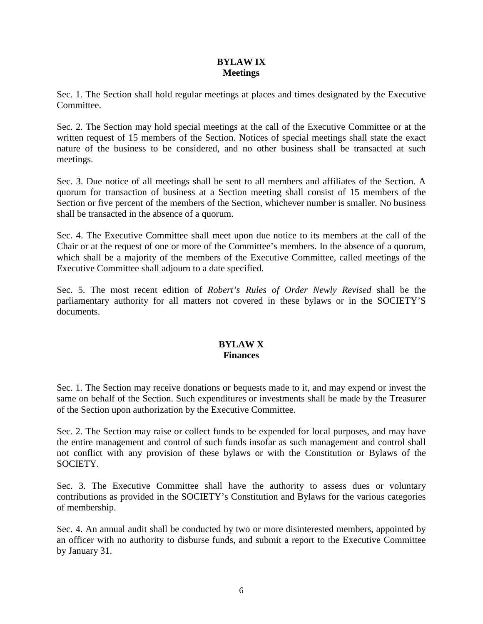### **BYLAW IX Meetings**

Sec. 1. The Section shall hold regular meetings at places and times designated by the Executive Committee.

Sec. 2. The Section may hold special meetings at the call of the Executive Committee or at the written request of 15 members of the Section. Notices of special meetings shall state the exact nature of the business to be considered, and no other business shall be transacted at such meetings.

Sec. 3. Due notice of all meetings shall be sent to all members and affiliates of the Section. A quorum for transaction of business at a Section meeting shall consist of 15 members of the Section or five percent of the members of the Section, whichever number is smaller. No business shall be transacted in the absence of a quorum.

Sec. 4. The Executive Committee shall meet upon due notice to its members at the call of the Chair or at the request of one or more of the Committee's members. In the absence of a quorum, which shall be a majority of the members of the Executive Committee, called meetings of the Executive Committee shall adjourn to a date specified.

Sec. 5. The most recent edition of *Robert's Rules of Order Newly Revised* shall be the parliamentary authority for all matters not covered in these bylaws or in the SOCIETY'S documents.

# **BYLAW X Finances**

Sec. 1. The Section may receive donations or bequests made to it, and may expend or invest the same on behalf of the Section. Such expenditures or investments shall be made by the Treasurer of the Section upon authorization by the Executive Committee.

Sec. 2. The Section may raise or collect funds to be expended for local purposes, and may have the entire management and control of such funds insofar as such management and control shall not conflict with any provision of these bylaws or with the Constitution or Bylaws of the SOCIETY.

Sec. 3. The Executive Committee shall have the authority to assess dues or voluntary contributions as provided in the SOCIETY's Constitution and Bylaws for the various categories of membership.

Sec. 4. An annual audit shall be conducted by two or more disinterested members, appointed by an officer with no authority to disburse funds, and submit a report to the Executive Committee by January 31.